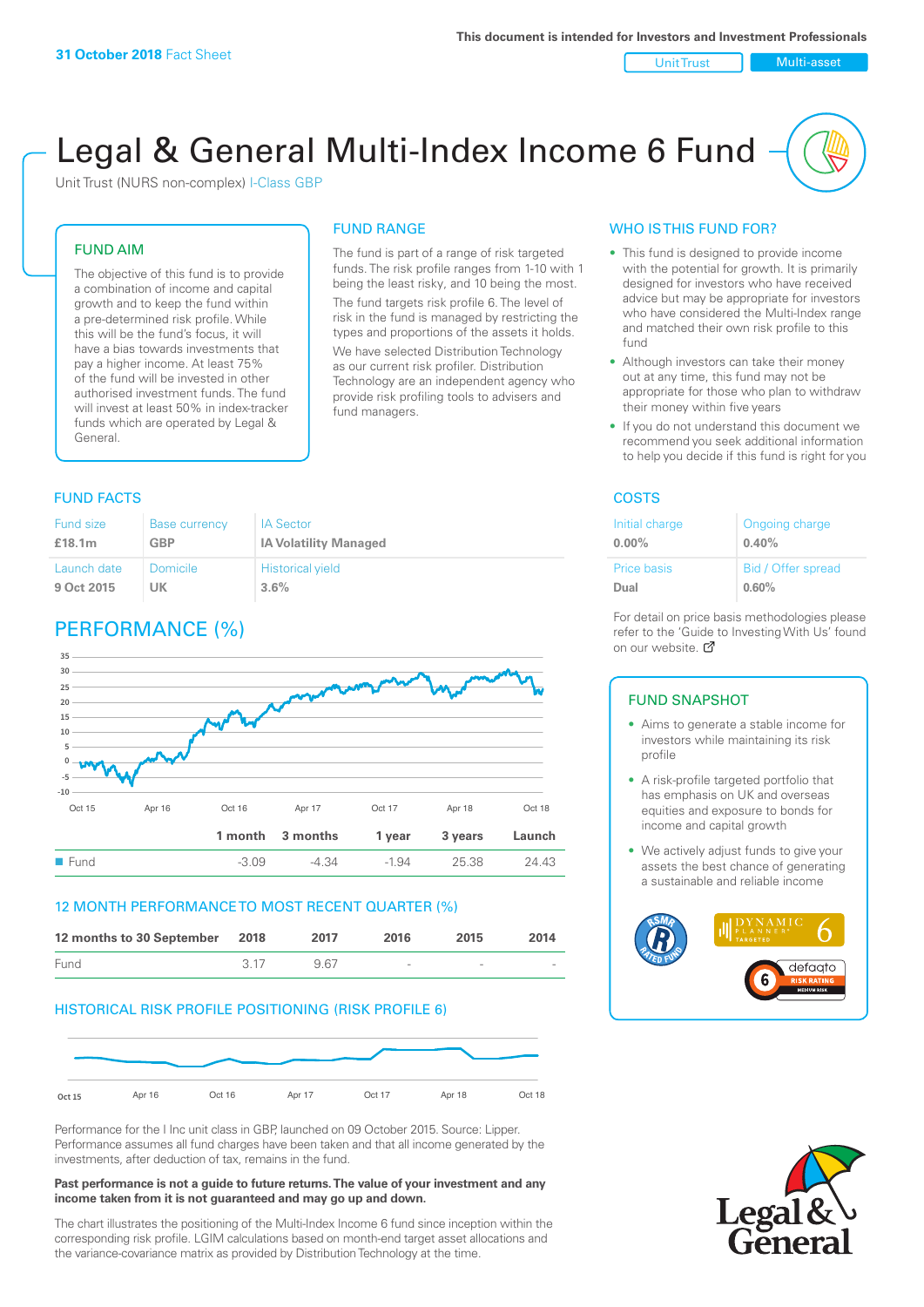#### Unit Trust Nulti-asset

# Legal & General Multi-Index Income 6 Fund

Unit Trust (NURS non-complex) I-Class GBP

## FUND AIM

The objective of this fund is to provide a combination of income and capital growth and to keep the fund within a pre-determined risk profile. While this will be the fund's focus, it will have a bias towards investments that pay a higher income. At least 75% of the fund will be invested in other authorised investment funds. The fund will invest at least 50% in index-tracker funds which are operated by Legal & General.

## FUND RANGE The fund is part of a range of risk targeted

funds. The risk profile ranges from 1-10 with 1 being the least risky, and 10 being the most. The fund targets risk profile 6. The level of risk in the fund is managed by restricting the types and proportions of the assets it holds.

We have selected Distribution Technology as our current risk profiler. Distribution Technology are an independent agency who provide risk profiling tools to advisers and fund managers.

## **FUND FACTS** COSTS

| Fund size          | Base currency   | <b>IA Sector</b>             |
|--------------------|-----------------|------------------------------|
| £18.1 <sub>m</sub> | GBP             | <b>IA Volatility Managed</b> |
| Launch date        | <b>Domicile</b> | <b>Historical yield</b>      |
| 9 Oct 2015         | UK              | 3.6%                         |

## PERFORMANCE (%)



## 12 MONTH PERFORMANCE TO MOST RECENT QUARTER (%)

| 12 months to 30 September 2018 |      | 2017 | 2016                     | 2015   | 2014   |
|--------------------------------|------|------|--------------------------|--------|--------|
| Fund                           | 3.17 | 967  | $\overline{\phantom{a}}$ | $\sim$ | $\sim$ |

## HISTORICAL RISK PROFILE POSITIONING (RISK PROFILE 6)



Performance for the I Inc unit class in GBP, launched on 09 October 2015. Source: Lipper. Performance assumes all fund charges have been taken and that all income generated by the investments, after deduction of tax, remains in the fund.

#### **Past performance is not a guide to future returns. The value of your investment and any income taken from it is not guaranteed and may go up and down.**

The chart illustrates the positioning of the Multi-Index Income 6 fund since inception within the corresponding risk profile. LGIM calculations based on month-end target asset allocations and the variance-covariance matrix as provided by Distribution Technology at the time.

## WHO IS THIS FUND FOR?

- This fund is designed to provide income with the potential for growth. It is primarily designed for investors who have received advice but may be appropriate for investors who have considered the Multi-Index range and matched their own risk profile to this fund
- Although investors can take their money out at any time, this fund may not be appropriate for those who plan to withdraw their money within five years
- If you do not understand this document we recommend you seek additional information to help you decide if this fund is right for you

| Initial charge     | Ongoing charge     |
|--------------------|--------------------|
| $0.00\%$           | 0.40%              |
| <b>Price basis</b> | Bid / Offer spread |
| Dual               | 0.60%              |

For detail on price basis methodologies please refer to the 'Gu[ide t](http://www.legalandgeneral.com/guide)o Investing With Us' found on our website. Ø

## FUND SNAPSHOT

- Aims to generate a stable income for investors while maintaining its risk profile
- A risk-profile targeted portfolio that has emphasis on UK and overseas equities and exposure to bonds for income and capital growth
- We actively adjust funds to give your assets the best chance of generating a sustainable and reliable income



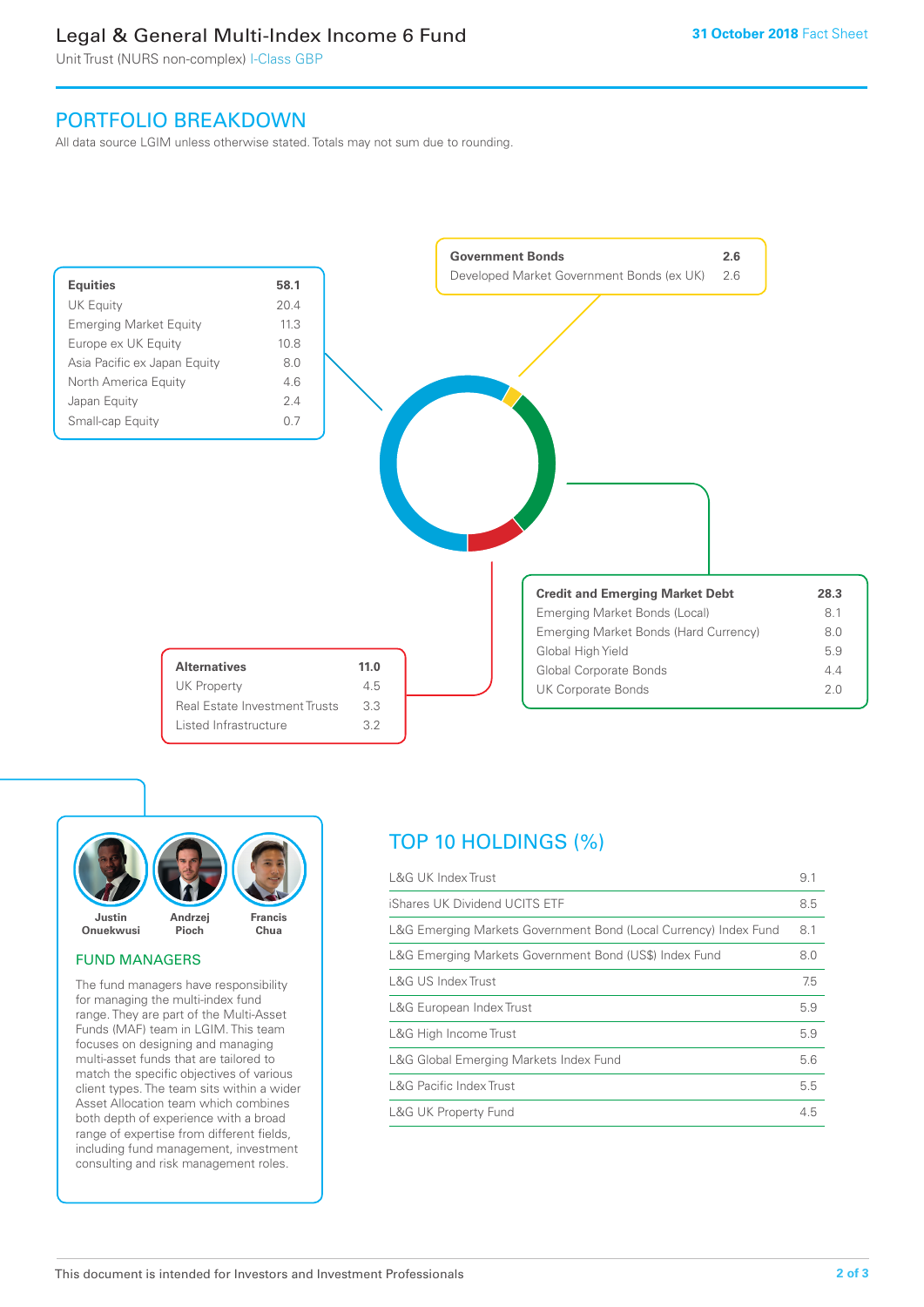## Legal & General Multi-Index Income 6 Fund

Unit Trust (NURS non-complex) I-Class GBP

## PORTFOLIO BREAKDOWN

All data source LGIM unless otherwise stated. Totals may not sum due to rounding.





## FUND MANAGERS

The fund managers have responsibility for managing the multi-index fund range. They are part of the Multi-Asset Funds (MAF) team in LGIM. This team focuses on designing and managing multi-asset funds that are tailored to match the specific objectives of various client types. The team sits within a wider Asset Allocation team which combines both depth of experience with a broad range of expertise from different fields, including fund management, investment consulting and risk management roles.

## TOP 10 HOLDINGS (%)

| <b>L&amp;G UK Index Trust</b>                                    | 9.1 |
|------------------------------------------------------------------|-----|
| iShares UK Dividend UCITS ETF                                    | 8.5 |
| L&G Emerging Markets Government Bond (Local Currency) Index Fund | 8.1 |
| L&G Emerging Markets Government Bond (US\$) Index Fund           | 8.0 |
| L&G US Index Trust                                               | 7.5 |
| L&G European Index Trust                                         | 5.9 |
| L&G High Income Trust                                            | 5.9 |
| L&G Global Emerging Markets Index Fund                           | 5.6 |
| <b>L&amp;G Pacific Index Trust</b>                               | 5.5 |
| <b>L&amp;G UK Property Fund</b>                                  | 4.5 |